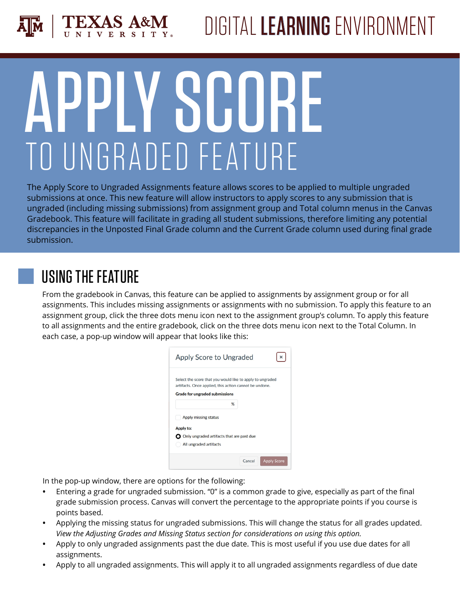

# **VSH** TO UNGRADED FEATURE

The Apply Score to Ungraded Assignments feature allows scores to be applied to multiple ungraded submissions at once. This new feature will allow instructors to apply scores to any submission that is ungraded (including missing submissions) from assignment group and Total column menus in the Canvas Gradebook. This feature will facilitate in grading all student submissions, therefore limiting any potential discrepancies in the Unposted Final Grade column and the Current Grade column used during final grade submission.

### USING THE FEATURE

From the gradebook in Canvas, this feature can be applied to assignments by assignment group or for all assignments. This includes missing assignments or assignments with no submission. To apply this feature to an assignment group, click the three dots menu icon next to the assignment group's column. To apply this feature to all assignments and the entire gradebook, click on the three dots menu icon next to the Total Column. In each case, a pop-up window will appear that looks like this:

|           | Apply Score to Ungraded                                                                                             |   |  |
|-----------|---------------------------------------------------------------------------------------------------------------------|---|--|
|           | Select the score that you would like to apply to ungraded<br>artifacts. Once applied, this action cannot be undone. |   |  |
|           | <b>Grade for ungraded submissions</b>                                                                               |   |  |
|           |                                                                                                                     | % |  |
|           |                                                                                                                     |   |  |
|           | <b>Apply missing status</b>                                                                                         |   |  |
| Apply to: |                                                                                                                     |   |  |
|           | $\bigcirc$ Only ungraded artifacts that are past due                                                                |   |  |

In the pop-up window, there are options for the following:

- **•** Entering a grade for ungraded submission. "0" is a common grade to give, especially as part of the final grade submission process. Canvas will convert the percentage to the appropriate points if you course is points based.
- **•** Applying the missing status for ungraded submissions. This will change the status for all grades updated. *View the Adjusting Grades and Missing Status section for considerations on using this option.*
- **•** Apply to only ungraded assignments past the due date. This is most useful if you use due dates for all assignments.
- **•** Apply to all ungraded assignments. This will apply it to all ungraded assignments regardless of due date